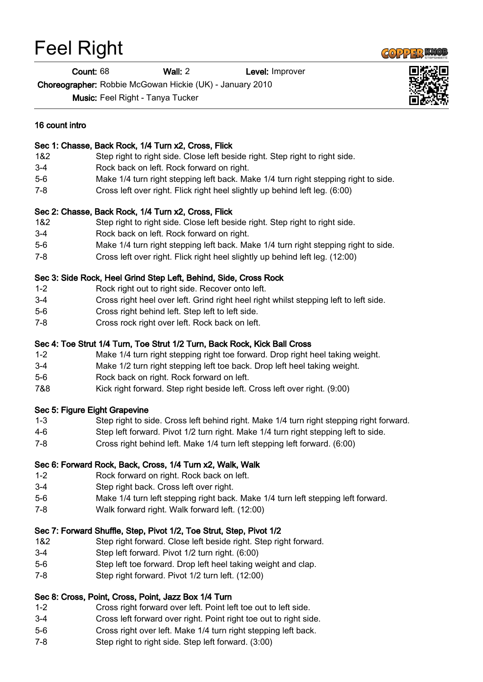# Feel Right

Count: 68 Wall: 2 Level: Improver

Choreographer: Robbie McGowan Hickie (UK) - January 2010

Music: Feel Right - Tanya Tucker



#### 16 count intro

#### Sec 1: Chasse, Back Rock, 1/4 Turn x2, Cross, Flick

- 1&2 Step right to right side. Close left beside right. Step right to right side.
- 3-4 Rock back on left. Rock forward on right.
- 5-6 Make 1/4 turn right stepping left back. Make 1/4 turn right stepping right to side.
- 7-8 Cross left over right. Flick right heel slightly up behind left leg. (6:00)

### Sec 2: Chasse, Back Rock, 1/4 Turn x2, Cross, Flick

- 1&2 Step right to right side. Close left beside right. Step right to right side.
- 3-4 Rock back on left. Rock forward on right.
- 5-6 Make 1/4 turn right stepping left back. Make 1/4 turn right stepping right to side.
- 7-8 Cross left over right. Flick right heel slightly up behind left leg. (12:00)

#### Sec 3: Side Rock, Heel Grind Step Left, Behind, Side, Cross Rock

- 1-2 Rock right out to right side. Recover onto left.
- 3-4 Cross right heel over left. Grind right heel right whilst stepping left to left side.
- 5-6 Cross right behind left. Step left to left side.
- 7-8 Cross rock right over left. Rock back on left.

#### Sec 4: Toe Strut 1/4 Turn, Toe Strut 1/2 Turn, Back Rock, Kick Ball Cross

- 1-2 Make 1/4 turn right stepping right toe forward. Drop right heel taking weight.
- 3-4 Make 1/2 turn right stepping left toe back. Drop left heel taking weight.
- 5-6 Rock back on right. Rock forward on left.
- 7&8 Kick right forward. Step right beside left. Cross left over right. (9:00)

### Sec 5: Figure Eight Grapevine

- 1-3 Step right to side. Cross left behind right. Make 1/4 turn right stepping right forward.
- 4-6 Step left forward. Pivot 1/2 turn right. Make 1/4 turn right stepping left to side.
- 7-8 Cross right behind left. Make 1/4 turn left stepping left forward. (6:00)

### Sec 6: Forward Rock, Back, Cross, 1/4 Turn x2, Walk, Walk

- 1-2 Rock forward on right. Rock back on left.
- 3-4 Step right back. Cross left over right.
- 5-6 Make 1/4 turn left stepping right back. Make 1/4 turn left stepping left forward.
- 7-8 Walk forward right. Walk forward left. (12:00)

# Sec 7: Forward Shuffle, Step, Pivot 1/2, Toe Strut, Step, Pivot 1/2

- 1&2 Step right forward. Close left beside right. Step right forward.
- 3-4 Step left forward. Pivot 1/2 turn right. (6:00)
- 5-6 Step left toe forward. Drop left heel taking weight and clap.
- 7-8 Step right forward. Pivot 1/2 turn left. (12:00)

# Sec 8: Cross, Point, Cross, Point, Jazz Box 1/4 Turn

- 1-2 Cross right forward over left. Point left toe out to left side.
- 3-4 Cross left forward over right. Point right toe out to right side.
- 5-6 Cross right over left. Make 1/4 turn right stepping left back.
- 7-8 Step right to right side. Step left forward. (3:00)